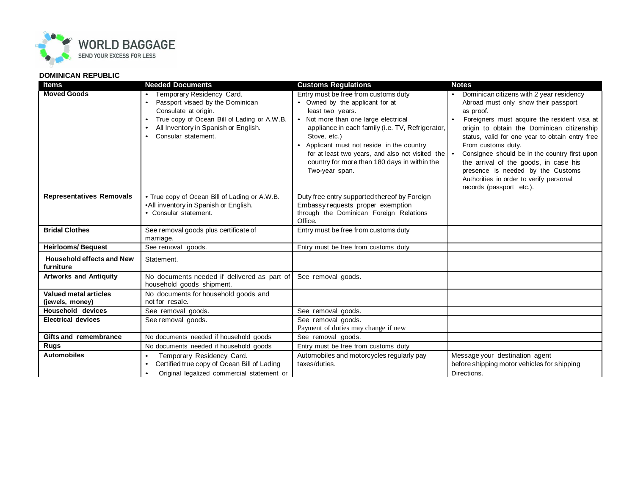

## **DOMINICAN REPUBLIC**

| <b>Items</b>                                    | <b>Needed Documents</b>                                                                                                                                                                                          | <b>Customs Regulations</b>                                                                                                                                                                                                                                                                                                                                                                     | <b>Notes</b>                                                                                                                                                                                                                                                                                                                                                                                                                                                               |
|-------------------------------------------------|------------------------------------------------------------------------------------------------------------------------------------------------------------------------------------------------------------------|------------------------------------------------------------------------------------------------------------------------------------------------------------------------------------------------------------------------------------------------------------------------------------------------------------------------------------------------------------------------------------------------|----------------------------------------------------------------------------------------------------------------------------------------------------------------------------------------------------------------------------------------------------------------------------------------------------------------------------------------------------------------------------------------------------------------------------------------------------------------------------|
| <b>Moved Goods</b>                              | Temporary Residency Card.<br>Passport visaed by the Dominican<br>$\bullet$<br>Consulate at origin.<br>True copy of Ocean Bill of Lading or A.W.B.<br>All Inventory in Spanish or English.<br>Consular statement. | Entry must be free from customs duty<br>• Owned by the applicant for at<br>least two years.<br>• Not more than one large electrical<br>appliance in each family (i.e. TV, Refrigerator,<br>Stove, etc.)<br>Applicant must not reside in the country<br>$\bullet$<br>for at least two years, and also not visited the $\cdot$<br>country for more than 180 days in within the<br>Two-year span. | Dominican citizens with 2 year residency<br>Abroad must only show their passport<br>as proof.<br>Foreigners must acquire the resident visa at<br>origin to obtain the Dominican citizenship<br>status, valid for one year to obtain entry free<br>From customs duty.<br>Consignee should be in the country first upon<br>the arrival of the goods, in case his<br>presence is needed by the Customs<br>Authorities in order to verify personal<br>records (passport etc.). |
| <b>Representatives Removals</b>                 | • True copy of Ocean Bill of Lading or A.W.B.<br>•All inventory in Spanish or English.<br>• Consular statement.                                                                                                  | Duty free entry supported thereof by Foreign<br>Embassy requests proper exemption<br>through the Dominican Foreign Relations<br>Office.                                                                                                                                                                                                                                                        |                                                                                                                                                                                                                                                                                                                                                                                                                                                                            |
| <b>Bridal Clothes</b>                           | See removal goods plus certificate of<br>marriage.                                                                                                                                                               | Entry must be free from customs duty                                                                                                                                                                                                                                                                                                                                                           |                                                                                                                                                                                                                                                                                                                                                                                                                                                                            |
| <b>Heirlooms/Bequest</b>                        | See removal goods.                                                                                                                                                                                               | Entry must be free from customs duty                                                                                                                                                                                                                                                                                                                                                           |                                                                                                                                                                                                                                                                                                                                                                                                                                                                            |
| <b>Household effects and New</b><br>furniture   | Statement.                                                                                                                                                                                                       |                                                                                                                                                                                                                                                                                                                                                                                                |                                                                                                                                                                                                                                                                                                                                                                                                                                                                            |
| <b>Artworks and Antiquity</b>                   | No documents needed if delivered as part of<br>household goods shipment.                                                                                                                                         | See removal goods.                                                                                                                                                                                                                                                                                                                                                                             |                                                                                                                                                                                                                                                                                                                                                                                                                                                                            |
| <b>Valued metal articles</b><br>(jewels, money) | No documents for household goods and<br>not for resale.                                                                                                                                                          |                                                                                                                                                                                                                                                                                                                                                                                                |                                                                                                                                                                                                                                                                                                                                                                                                                                                                            |
| <b>Household devices</b>                        | See removal goods.                                                                                                                                                                                               | See removal goods.                                                                                                                                                                                                                                                                                                                                                                             |                                                                                                                                                                                                                                                                                                                                                                                                                                                                            |
| <b>Electrical devices</b>                       | See removal goods.                                                                                                                                                                                               | See removal goods.<br>Payment of duties may change if new                                                                                                                                                                                                                                                                                                                                      |                                                                                                                                                                                                                                                                                                                                                                                                                                                                            |
| <b>Gifts and remembrance</b>                    | No documents needed if household goods                                                                                                                                                                           | See removal goods.                                                                                                                                                                                                                                                                                                                                                                             |                                                                                                                                                                                                                                                                                                                                                                                                                                                                            |
| <b>Rugs</b>                                     | No documents needed if household goods                                                                                                                                                                           | Entry must be free from customs duty                                                                                                                                                                                                                                                                                                                                                           |                                                                                                                                                                                                                                                                                                                                                                                                                                                                            |
| <b>Automobiles</b>                              | Temporary Residency Card.<br>$\bullet$<br>Certified true copy of Ocean Bill of Lading<br>Original legalized commercial statement or<br>$\bullet$                                                                 | Automobiles and motorcycles regularly pay<br>taxes/duties.                                                                                                                                                                                                                                                                                                                                     | Message your destination agent<br>before shipping motor vehicles for shipping<br>Directions.                                                                                                                                                                                                                                                                                                                                                                               |